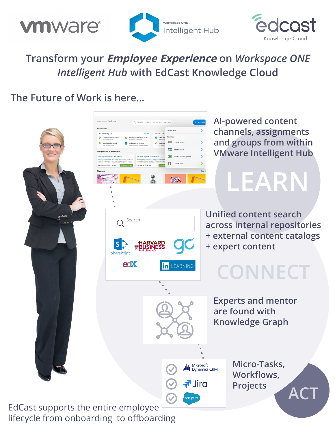





## **Transform your Employee Experience on** *Workspace ONE Intelligent Hub* **with EdCast Knowledge Cloud**

## **The Future of Work is here...**